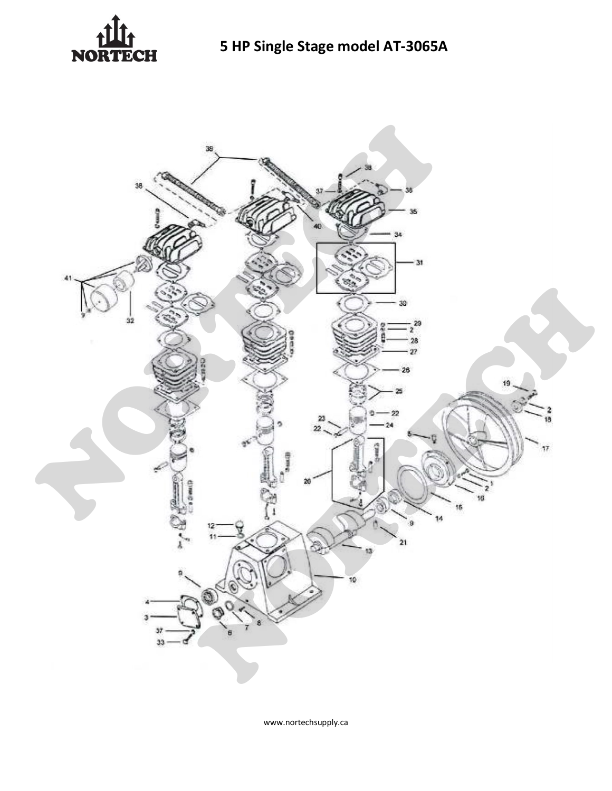



www.nortechsupply.ca